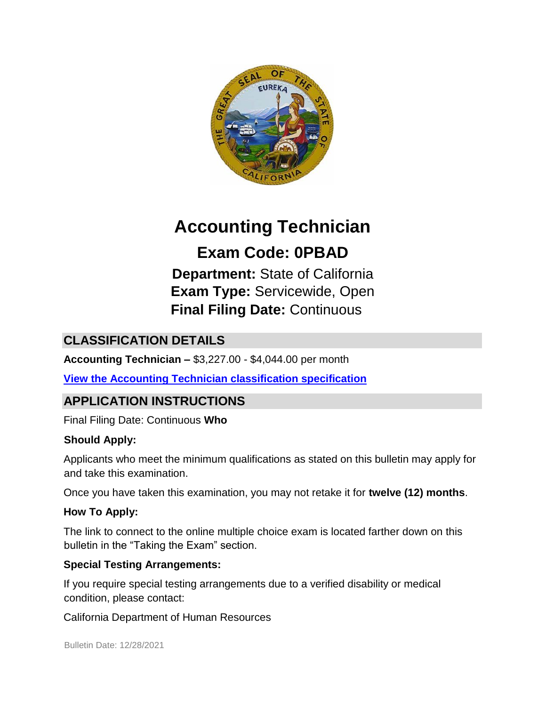

# **Accounting Technician**

## **Exam Code: 0PBAD**

**Department:** State of California **Exam Type:** Servicewide, Open **Final Filing Date:** Continuous

## **CLASSIFICATION DETAILS**

**Accounting Technician –** \$3,227.00 - \$4,044.00 per month

**[View the Accounting Technician classification specification](https://www.calhr.ca.gov/state-hr-professionals/Pages/1741.aspx)**

## **APPLICATION INSTRUCTIONS**

Final Filing Date: Continuous **Who** 

#### **Should Apply:**

Applicants who meet the minimum qualifications as stated on this bulletin may apply for and take this examination.

Once you have taken this examination, you may not retake it for **twelve (12) months**.

#### **How To Apply:**

The link to connect to the online multiple choice exam is located farther down on this bulletin in the "Taking the Exam" section.

#### **Special Testing Arrangements:**

If you require special testing arrangements due to a verified disability or medical condition, please contact:

California Department of Human Resources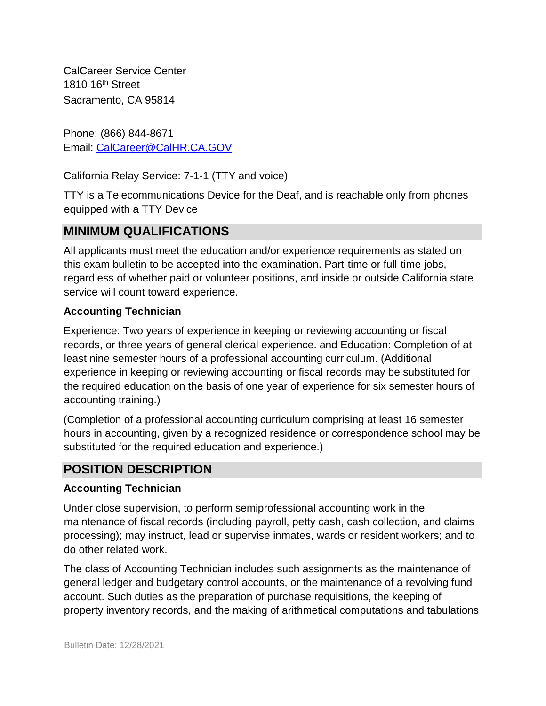CalCareer Service Center 1810 16<sup>th</sup> Street Sacramento, CA 95814

Phone: (866) 844-8671 Email: CalCareer@CalHR.CA.GOV

California Relay Service: 7-1-1 (TTY and voice)

TTY is a Telecommunications Device for the Deaf, and is reachable only from phones equipped with a TTY Device

## **MINIMUM QUALIFICATIONS**

All applicants must meet the education and/or experience requirements as stated on this exam bulletin to be accepted into the examination. Part-time or full-time jobs, regardless of whether paid or volunteer positions, and inside or outside California state service will count toward experience.

#### **Accounting Technician**

Experience: Two years of experience in keeping or reviewing accounting or fiscal records, or three years of general clerical experience. and Education: Completion of at least nine semester hours of a professional accounting curriculum. (Additional experience in keeping or reviewing accounting or fiscal records may be substituted for the required education on the basis of one year of experience for six semester hours of accounting training.)

(Completion of a professional accounting curriculum comprising at least 16 semester hours in accounting, given by a recognized residence or correspondence school may be substituted for the required education and experience.)

## **POSITION DESCRIPTION**

#### **Accounting Technician**

Under close supervision, to perform semiprofessional accounting work in the maintenance of fiscal records (including payroll, petty cash, cash collection, and claims processing); may instruct, lead or supervise inmates, wards or resident workers; and to do other related work.

The class of Accounting Technician includes such assignments as the maintenance of general ledger and budgetary control accounts, or the maintenance of a revolving fund account. Such duties as the preparation of purchase requisitions, the keeping of property inventory records, and the making of arithmetical computations and tabulations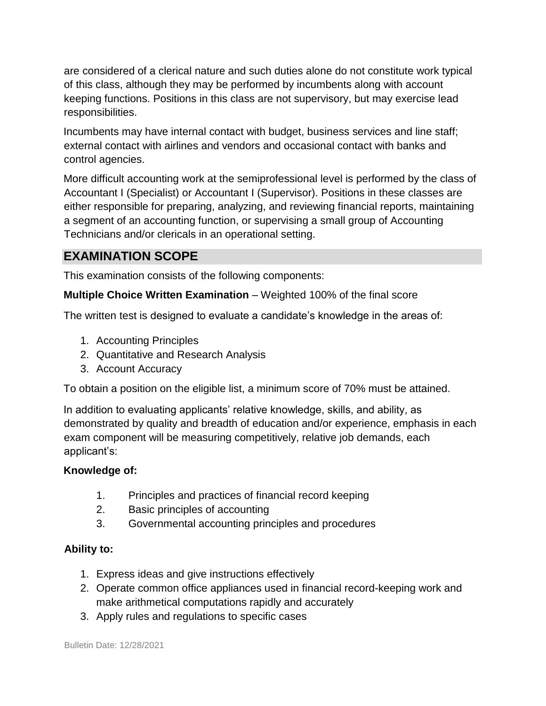are considered of a clerical nature and such duties alone do not constitute work typical of this class, although they may be performed by incumbents along with account keeping functions. Positions in this class are not supervisory, but may exercise lead responsibilities.

Incumbents may have internal contact with budget, business services and line staff; external contact with airlines and vendors and occasional contact with banks and control agencies.

More difficult accounting work at the semiprofessional level is performed by the class of Accountant I (Specialist) or Accountant I (Supervisor). Positions in these classes are either responsible for preparing, analyzing, and reviewing financial reports, maintaining a segment of an accounting function, or supervising a small group of Accounting Technicians and/or clericals in an operational setting.

## **EXAMINATION SCOPE**

This examination consists of the following components:

#### **Multiple Choice Written Examination** – Weighted 100% of the final score

The written test is designed to evaluate a candidate's knowledge in the areas of:

- 1. Accounting Principles
- 2. Quantitative and Research Analysis
- 3. Account Accuracy

To obtain a position on the eligible list, a minimum score of 70% must be attained.

In addition to evaluating applicants' relative knowledge, skills, and ability, as demonstrated by quality and breadth of education and/or experience, emphasis in each exam component will be measuring competitively, relative job demands, each applicant's:

#### **Knowledge of:**

- 1. Principles and practices of financial record keeping
- 2. Basic principles of accounting
- 3. Governmental accounting principles and procedures

#### **Ability to:**

- 1. Express ideas and give instructions effectively
- 2. Operate common office appliances used in financial record-keeping work and make arithmetical computations rapidly and accurately
- 3. Apply rules and regulations to specific cases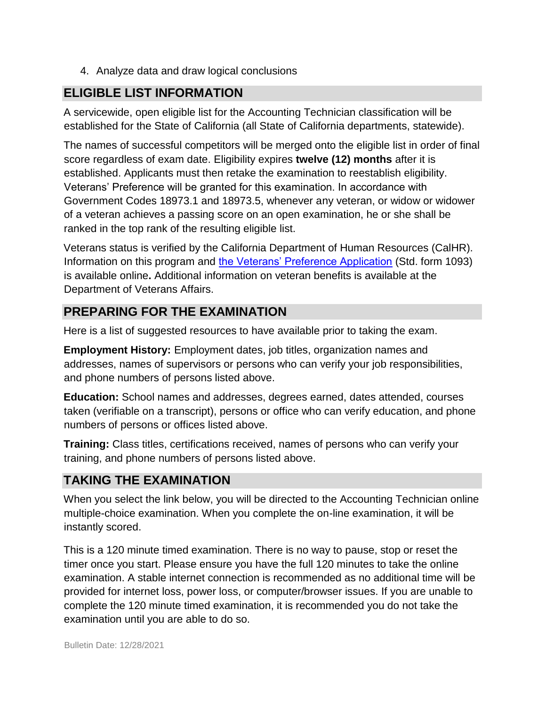4. Analyze data and draw logical conclusions

#### **ELIGIBLE LIST INFORMATION**

A servicewide, open eligible list for the Accounting Technician classification will be established for the State of California (all State of California departments, statewide).

The names of successful competitors will be merged onto the eligible list in order of final score regardless of exam date. Eligibility expires **twelve (12) months** after it is established. Applicants must then retake the examination to reestablish eligibility. Veterans' Preference will be granted for this examination. In accordance with Government Codes 18973.1 and 18973.5, whenever any veteran, or widow or widower of a veteran achieves a passing score on an open examination, he or she shall be ranked in the top rank of the resulting eligible list.

Veterans status is verified by the California Department of Human Resources (CalHR). Information on this program and [the Veterans' Preference Application](https://www.jobs.ca.gov/CalHRPublic/Landing/Jobs/VeteransInformation.aspx) [\(](https://www.jobs.ca.gov/CalHRPublic/Landing/Jobs/VeteransInformation.aspx)Std. form 1093) is available online**.** Additional information on veteran benefits is available at the Department of Veterans Affairs.

## **PREPARING FOR THE EXAMINATION**

Here is a list of suggested resources to have available prior to taking the exam.

**Employment History:** Employment dates, job titles, organization names and addresses, names of supervisors or persons who can verify your job responsibilities, and phone numbers of persons listed above.

**Education:** School names and addresses, degrees earned, dates attended, courses taken (verifiable on a transcript), persons or office who can verify education, and phone numbers of persons or offices listed above.

**Training:** Class titles, certifications received, names of persons who can verify your training, and phone numbers of persons listed above.

## **TAKING THE EXAMINATION**

When you select the link below, you will be directed to the Accounting Technician online multiple-choice examination. When you complete the on-line examination, it will be instantly scored.

This is a 120 minute timed examination. There is no way to pause, stop or reset the timer once you start. Please ensure you have the full 120 minutes to take the online examination. A stable internet connection is recommended as no additional time will be provided for internet loss, power loss, or computer/browser issues. If you are unable to complete the 120 minute timed examination, it is recommended you do not take the examination until you are able to do so.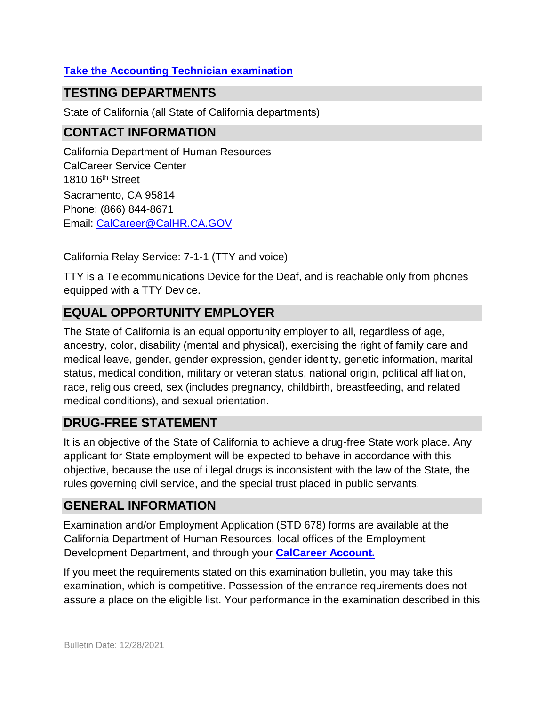#### **[Take the](https://www.jobs.ca.gov/CalHRPublic/Login.aspx?ExamId=0PBAD) [Accounting Technician](https://www.jobs.ca.gov/CalHRPublic/Login.aspx?ExamId=0PBAD) [examination](https://www.jobs.ca.gov/CalHRPublic/Login.aspx?ExamId=0PBAD)**

#### **TESTING DEPARTMENTS**

State of California (all State of California departments)

## **CONTACT INFORMATION**

California Department of Human Resources CalCareer Service Center 1810 16<sup>th</sup> Street Sacramento, CA 95814 Phone: (866) 844-8671 Email: CalCareer@CalHR.CA.GOV

California Relay Service: 7-1-1 (TTY and voice)

TTY is a Telecommunications Device for the Deaf, and is reachable only from phones equipped with a TTY Device.

## **EQUAL OPPORTUNITY EMPLOYER**

The State of California is an equal opportunity employer to all, regardless of age, ancestry, color, disability (mental and physical), exercising the right of family care and medical leave, gender, gender expression, gender identity, genetic information, marital status, medical condition, military or veteran status, national origin, political affiliation, race, religious creed, sex (includes pregnancy, childbirth, breastfeeding, and related medical conditions), and sexual orientation.

## **DRUG-FREE STATEMENT**

It is an objective of the State of California to achieve a drug-free State work place. Any applicant for State employment will be expected to behave in accordance with this objective, because the use of illegal drugs is inconsistent with the law of the State, the rules governing civil service, and the special trust placed in public servants.

## **GENERAL INFORMATION**

Examination and/or Employment Application (STD 678) forms are available at the California Department of Human Resources, local offices of the Employment Development Department, and through your **[CalCareer Account.](http://www.jobs.ca.gov/)**

If you meet the requirements stated on this examination bulletin, you may take this examination, which is competitive. Possession of the entrance requirements does not assure a place on the eligible list. Your performance in the examination described in this